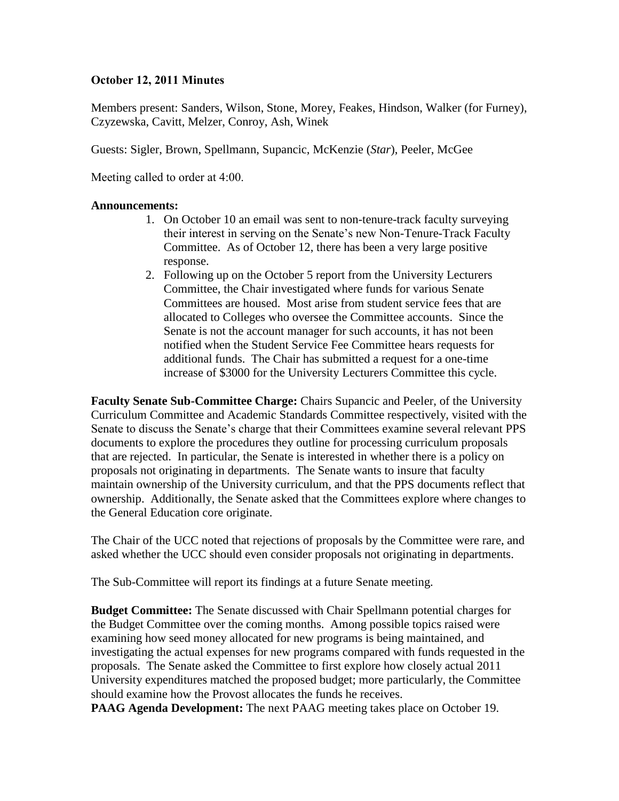# **October 12, 2011 Minutes**

Members present: Sanders, Wilson, Stone, Morey, Feakes, Hindson, Walker (for Furney), Czyzewska, Cavitt, Melzer, Conroy, Ash, Winek

Guests: Sigler, Brown, Spellmann, Supancic, McKenzie (*Star*), Peeler, McGee

Meeting called to order at 4:00.

#### **Announcements:**

- 1. On October 10 an email was sent to non-tenure-track faculty surveying their interest in serving on the Senate's new Non-Tenure-Track Faculty Committee. As of October 12, there has been a very large positive response.
- 2. Following up on the October 5 report from the University Lecturers Committee, the Chair investigated where funds for various Senate Committees are housed. Most arise from student service fees that are allocated to Colleges who oversee the Committee accounts. Since the Senate is not the account manager for such accounts, it has not been notified when the Student Service Fee Committee hears requests for additional funds. The Chair has submitted a request for a one-time increase of \$3000 for the University Lecturers Committee this cycle.

**Faculty Senate Sub-Committee Charge:** Chairs Supancic and Peeler, of the University Curriculum Committee and Academic Standards Committee respectively, visited with the Senate to discuss the Senate's charge that their Committees examine several relevant PPS documents to explore the procedures they outline for processing curriculum proposals that are rejected. In particular, the Senate is interested in whether there is a policy on proposals not originating in departments. The Senate wants to insure that faculty maintain ownership of the University curriculum, and that the PPS documents reflect that ownership. Additionally, the Senate asked that the Committees explore where changes to the General Education core originate.

The Chair of the UCC noted that rejections of proposals by the Committee were rare, and asked whether the UCC should even consider proposals not originating in departments.

The Sub-Committee will report its findings at a future Senate meeting.

**Budget Committee:** The Senate discussed with Chair Spellmann potential charges for the Budget Committee over the coming months. Among possible topics raised were examining how seed money allocated for new programs is being maintained, and investigating the actual expenses for new programs compared with funds requested in the proposals. The Senate asked the Committee to first explore how closely actual 2011 University expenditures matched the proposed budget; more particularly, the Committee should examine how the Provost allocates the funds he receives.

**PAAG Agenda Development:** The next PAAG meeting takes place on October 19.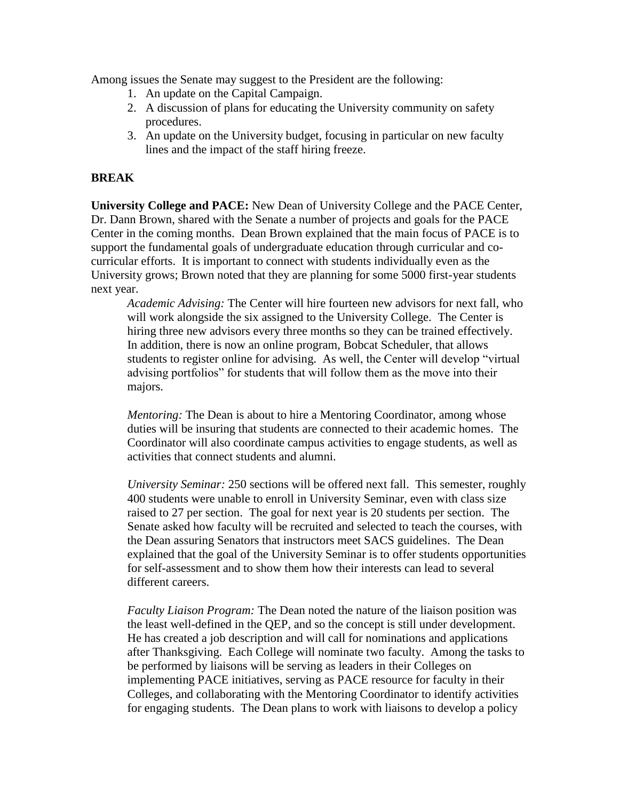Among issues the Senate may suggest to the President are the following:

- 1. An update on the Capital Campaign.
- 2. A discussion of plans for educating the University community on safety procedures.
- 3. An update on the University budget, focusing in particular on new faculty lines and the impact of the staff hiring freeze.

# **BREAK**

**University College and PACE:** New Dean of University College and the PACE Center, Dr. Dann Brown, shared with the Senate a number of projects and goals for the PACE Center in the coming months. Dean Brown explained that the main focus of PACE is to support the fundamental goals of undergraduate education through curricular and cocurricular efforts. It is important to connect with students individually even as the University grows; Brown noted that they are planning for some 5000 first-year students next year.

*Academic Advising:* The Center will hire fourteen new advisors for next fall, who will work alongside the six assigned to the University College. The Center is hiring three new advisors every three months so they can be trained effectively. In addition, there is now an online program, Bobcat Scheduler, that allows students to register online for advising. As well, the Center will develop "virtual advising portfolios" for students that will follow them as the move into their majors.

*Mentoring:* The Dean is about to hire a Mentoring Coordinator, among whose duties will be insuring that students are connected to their academic homes. The Coordinator will also coordinate campus activities to engage students, as well as activities that connect students and alumni.

*University Seminar:* 250 sections will be offered next fall. This semester, roughly 400 students were unable to enroll in University Seminar, even with class size raised to 27 per section. The goal for next year is 20 students per section. The Senate asked how faculty will be recruited and selected to teach the courses, with the Dean assuring Senators that instructors meet SACS guidelines. The Dean explained that the goal of the University Seminar is to offer students opportunities for self-assessment and to show them how their interests can lead to several different careers.

*Faculty Liaison Program:* The Dean noted the nature of the liaison position was the least well-defined in the QEP, and so the concept is still under development. He has created a job description and will call for nominations and applications after Thanksgiving. Each College will nominate two faculty. Among the tasks to be performed by liaisons will be serving as leaders in their Colleges on implementing PACE initiatives, serving as PACE resource for faculty in their Colleges, and collaborating with the Mentoring Coordinator to identify activities for engaging students. The Dean plans to work with liaisons to develop a policy